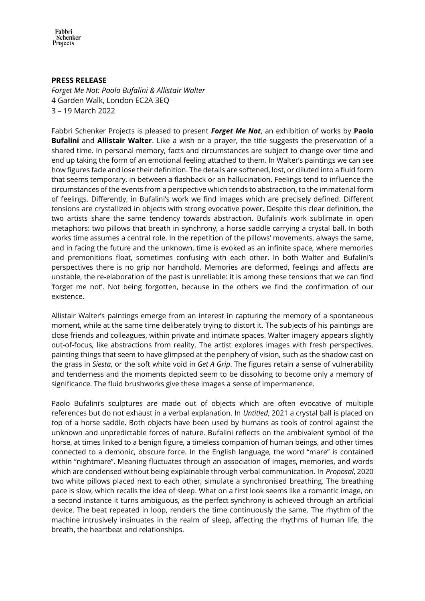Fabbri Schenker Projects

## **PRESS RELEASE**

*Forget Me Not: Paolo Bufalini & Allistair Walter* 4 Garden Walk, London EC2A 3EQ 3 – 19 March 2022

Fabbri Schenker Projects is pleased to present *Forget Me Not*, an exhibition of works by **Paolo Bufalini** and **Allistair Walter**. Like a wish or a prayer, the title suggests the preservation of a shared time. In personal memory, facts and circumstances are subject to change over time and end up taking the form of an emotional feeling attached to them. In Walter's paintings we can see how figures fade and lose their definition. The details are softened, lost, or diluted into a fluid form that seems temporary, in between a flashback or an hallucination. Feelings tend to influence the circumstances of the events from a perspective which tends to abstraction, to the immaterial form of feelings. Differently, in Bufalini's work we find images which are precisely defined. Different tensions are crystallized in objects with strong evocative power. Despite this clear definition, the two artists share the same tendency towards abstraction. Bufalini's work sublimate in open metaphors: two pillows that breath in synchrony, a horse saddle carrying a crystal ball. In both works time assumes a central role. In the repetition of the pillows' movements, always the same, and in facing the future and the unknown, time is evoked as an infinite space, where memories and premonitions float, sometimes confusing with each other. In both Walter and Bufalini's perspectives there is no grip nor handhold. Memories are deformed, feelings and affects are unstable, the re-elaboration of the past is unreliable: it is among these tensions that we can find 'forget me not'. Not being forgotten, because in the others we find the confirmation of our existence.

Allistair Walter's paintings emerge from an interest in capturing the memory of a spontaneous moment, while at the same time deliberately trying to distort it. The subjects of his paintings are close friends and colleagues, within private and intimate spaces. Walter imagery appears slightly out-of-focus, like abstractions from reality. The artist explores images with fresh perspectives, painting things that seem to have glimpsed at the periphery of vision, such as the shadow cast on the grass in *Siesta*, or the soft white void in *Get A Grip*. The figures retain a sense of vulnerability and tenderness and the moments depicted seem to be dissolving to become only a memory of significance. The fluid brushworks give these images a sense of impermanence.

Paolo Bufalini's sculptures are made out of objects which are often evocative of multiple references but do not exhaust in a verbal explanation. In *Untitled*, 2021 a crystal ball is placed on top of a horse saddle. Both objects have been used by humans as tools of control against the unknown and unpredictable forces of nature. Bufalini reflects on the ambivalent symbol of the horse, at times linked to a benign figure, a timeless companion of human beings, and other times connected to a demonic, obscure force. In the English language, the word "mare" is contained within "nightmare". Meaning fluctuates through an association of images, memories, and words which are condensed without being explainable through verbal communication. In *Proposal*, 2020 two white pillows placed next to each other, simulate a synchronised breathing. The breathing pace is slow, which recalls the idea of sleep. What on a first look seems like a romantic image, on a second instance it turns ambiguous, as the perfect synchrony is achieved through an artificial device. The beat repeated in loop, renders the time continuously the same. The rhythm of the machine intrusively insinuates in the realm of sleep, affecting the rhythms of human life, the breath, the heartbeat and relationships.